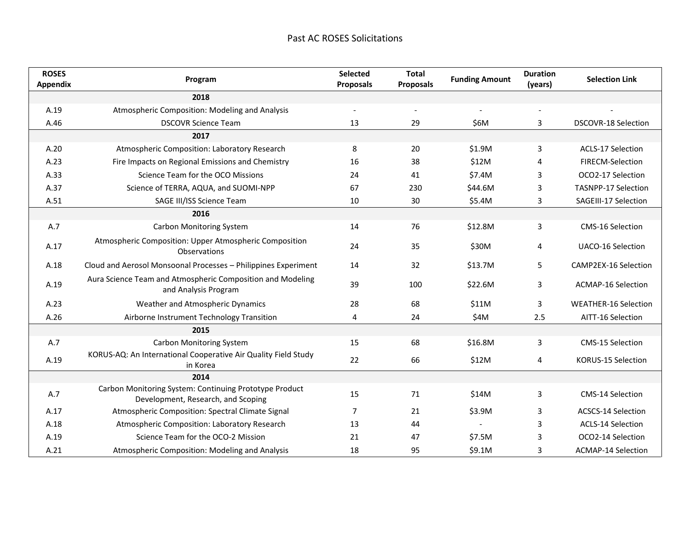| <b>ROSES</b><br><b>Appendix</b> | Program                                                                                      | Selected<br><b>Proposals</b> | <b>Total</b><br><b>Proposals</b> | <b>Funding Amount</b>    | <b>Duration</b><br>(years) | <b>Selection Link</b>       |
|---------------------------------|----------------------------------------------------------------------------------------------|------------------------------|----------------------------------|--------------------------|----------------------------|-----------------------------|
|                                 | 2018                                                                                         |                              |                                  |                          |                            |                             |
| A.19                            | Atmospheric Composition: Modeling and Analysis                                               | $\overline{\phantom{a}}$     | $\overline{\phantom{a}}$         | $\overline{\phantom{a}}$ | $\overline{\phantom{a}}$   |                             |
| A.46                            | <b>DSCOVR Science Team</b>                                                                   | 13                           | 29                               | \$6M                     | 3                          | DSCOVR-18 Selection         |
|                                 | 2017                                                                                         |                              |                                  |                          |                            |                             |
| A.20                            | Atmospheric Composition: Laboratory Research                                                 | 8                            | 20                               | \$1.9M                   | 3                          | <b>ACLS-17 Selection</b>    |
| A.23                            | Fire Impacts on Regional Emissions and Chemistry                                             | 16                           | 38                               | \$12M                    | 4                          | FIRECM-Selection            |
| A.33                            | Science Team for the OCO Missions                                                            | 24                           | 41                               | \$7.4M                   | 3                          | OCO2-17 Selection           |
| A.37                            | Science of TERRA, AQUA, and SUOMI-NPP                                                        | 67                           | 230                              | \$44.6M                  | 3                          | <b>TASNPP-17 Selection</b>  |
| A.51                            | SAGE III/ISS Science Team                                                                    | 10                           | 30                               | \$5.4M                   | 3                          | SAGEIII-17 Selection        |
|                                 | 2016                                                                                         |                              |                                  |                          |                            |                             |
| A.7                             | Carbon Monitoring System                                                                     | 14                           | 76                               | \$12.8M                  | 3                          | CMS-16 Selection            |
| A.17                            | Atmospheric Composition: Upper Atmospheric Composition<br>Observations                       | 24                           | 35                               | \$30M                    | 4                          | <b>UACO-16 Selection</b>    |
| A.18                            | Cloud and Aerosol Monsoonal Processes - Philippines Experiment                               | 14                           | 32                               | \$13.7M                  | 5                          | CAMP2EX-16 Selection        |
| A.19                            | Aura Science Team and Atmospheric Composition and Modeling<br>and Analysis Program           | 39                           | 100                              | \$22.6M                  | 3                          | <b>ACMAP-16 Selection</b>   |
| A.23                            | Weather and Atmospheric Dynamics                                                             | 28                           | 68                               | \$11M                    | 3                          | <b>WEATHER-16 Selection</b> |
| A.26                            | Airborne Instrument Technology Transition                                                    | 4                            | 24                               | \$4M                     | 2.5                        | AITT-16 Selection           |
|                                 | 2015                                                                                         |                              |                                  |                          |                            |                             |
| A.7                             | <b>Carbon Monitoring System</b>                                                              | 15                           | 68                               | \$16.8M                  | 3                          | CMS-15 Selection            |
| A.19                            | KORUS-AQ: An International Cooperative Air Quality Field Study<br>in Korea                   | 22                           | 66                               | \$12M                    | 4                          | KORUS-15 Selection          |
|                                 | 2014                                                                                         |                              |                                  |                          |                            |                             |
| A.7                             | Carbon Monitoring System: Continuing Prototype Product<br>Development, Research, and Scoping | 15                           | 71                               | \$14M                    | 3                          | CMS-14 Selection            |
| A.17                            | Atmospheric Composition: Spectral Climate Signal                                             | $\overline{7}$               | 21                               | \$3.9M                   | 3                          | <b>ACSCS-14 Selection</b>   |
| A.18                            | Atmospheric Composition: Laboratory Research                                                 | 13                           | 44                               |                          | 3                          | <b>ACLS-14 Selection</b>    |
| A.19                            | Science Team for the OCO-2 Mission                                                           | 21                           | 47                               | \$7.5M                   | 3                          | OCO2-14 Selection           |
| A.21                            | Atmospheric Composition: Modeling and Analysis                                               | 18                           | 95                               | \$9.1M                   | 3                          | <b>ACMAP-14 Selection</b>   |